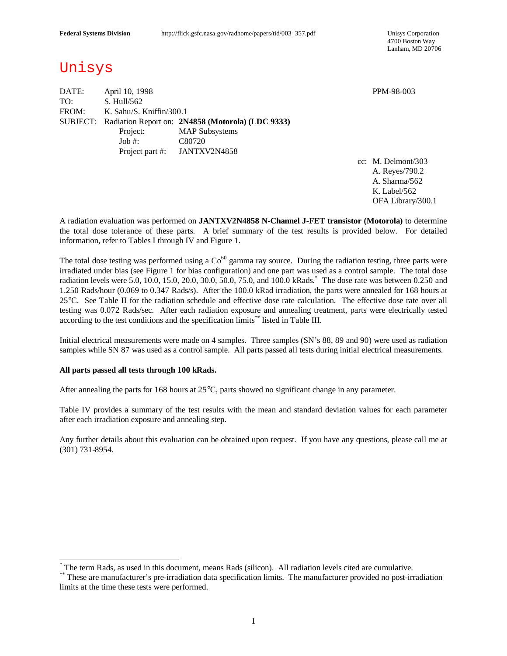4700 Boston Way Lanham, MD 20706

# Unisys

DATE: April 10, 1998 PPM-98-003 TO: S. Hull/562 FROM: K. Sahu/S. Kniffin/300.1 SUBJECT: Radiation Report on: **2N4858 (Motorola) (LDC 9333)** Project: MAP Subsystems Job #: C80720 Project part #: JANTXV2N4858

cc: M. Delmont/303 A. Reyes/790.2 A. Sharma/562 K. Label/562 OFA Library/300.1

A radiation evaluation was performed on **JANTXV2N4858 N-Channel J-FET transistor (Motorola)** to determine the total dose tolerance of these parts. A brief summary of the test results is provided below. For detailed information, refer to Tables I through IV and Figure 1.

The total dose testing was performed using a  $Co<sup>60</sup>$  gamma ray source. During the radiation testing, three parts were irradiated under bias (see Figure 1 for bias configuration) and one part was used as a control sample. The total dose radiation levels were 5.0, 10.0, 15.0, 20.0, 30.0, 50.0, 75.0, and 100.0 kRads. \* The dose rate was between 0.250 and 1.250 Rads/hour (0.069 to 0.347 Rads/s). After the 100.0 kRad irradiation, the parts were annealed for 168 hours at 25°C. See Table II for the radiation schedule and effective dose rate calculation. The effective dose rate over all testing was 0.072 Rads/sec. After each radiation exposure and annealing treatment, parts were electrically tested according to the test conditions and the specification limits\*\* listed in Table III.

Initial electrical measurements were made on 4 samples. Three samples (SN's 88, 89 and 90) were used as radiation samples while SN 87 was used as a control sample. All parts passed all tests during initial electrical measurements.

### **All parts passed all tests through 100 kRads.**

 $\overline{a}$ 

After annealing the parts for 168 hours at 25°C, parts showed no significant change in any parameter.

Table IV provides a summary of the test results with the mean and standard deviation values for each parameter after each irradiation exposure and annealing step.

Any further details about this evaluation can be obtained upon request. If you have any questions, please call me at (301) 731-8954.

<sup>\*</sup> The term Rads, as used in this document, means Rads (silicon). All radiation levels cited are cumulative.

<sup>\*\*</sup> These are manufacturer's pre-irradiation data specification limits. The manufacturer provided no post-irradiation limits at the time these tests were performed.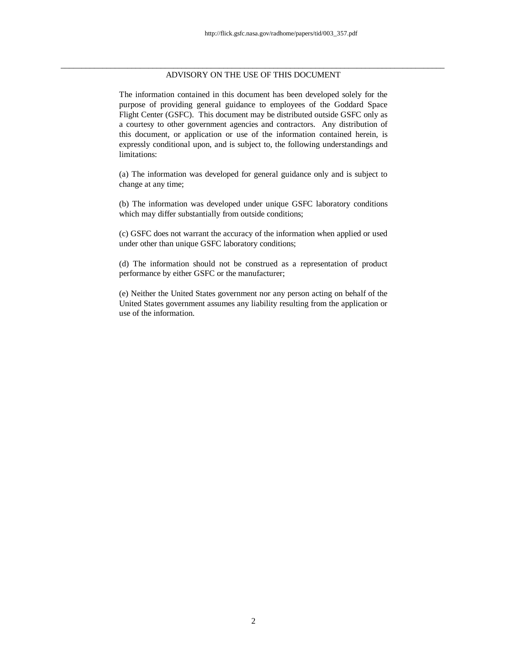## \_\_\_\_\_\_\_\_\_\_\_\_\_\_\_\_\_\_\_\_\_\_\_\_\_\_\_\_\_\_\_\_\_\_\_\_\_\_\_\_\_\_\_\_\_\_\_\_\_\_\_\_\_\_\_\_\_\_\_\_\_\_\_\_\_\_\_\_\_\_\_\_\_\_\_\_\_\_\_\_\_\_\_\_\_\_\_\_\_\_\_\_ ADVISORY ON THE USE OF THIS DOCUMENT

The information contained in this document has been developed solely for the purpose of providing general guidance to employees of the Goddard Space Flight Center (GSFC). This document may be distributed outside GSFC only as a courtesy to other government agencies and contractors. Any distribution of this document, or application or use of the information contained herein, is expressly conditional upon, and is subject to, the following understandings and limitations:

(a) The information was developed for general guidance only and is subject to change at any time;

(b) The information was developed under unique GSFC laboratory conditions which may differ substantially from outside conditions;

(c) GSFC does not warrant the accuracy of the information when applied or used under other than unique GSFC laboratory conditions;

(d) The information should not be construed as a representation of product performance by either GSFC or the manufacturer;

(e) Neither the United States government nor any person acting on behalf of the United States government assumes any liability resulting from the application or use of the information.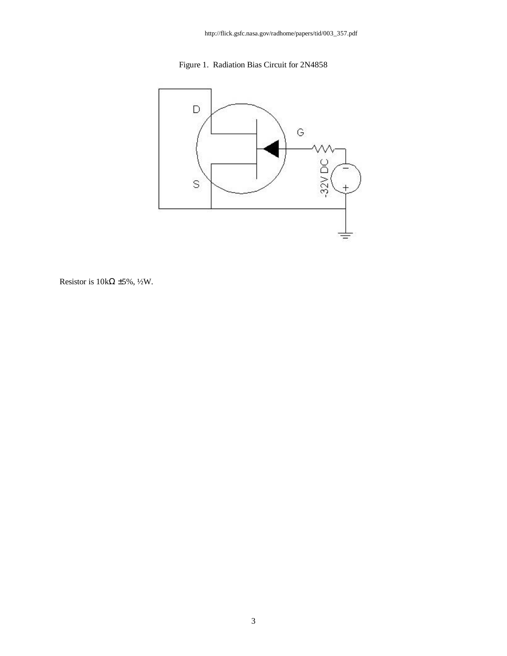



Resistor is  $10k\Omega \pm 5\%, \frac{1}{2}W$ .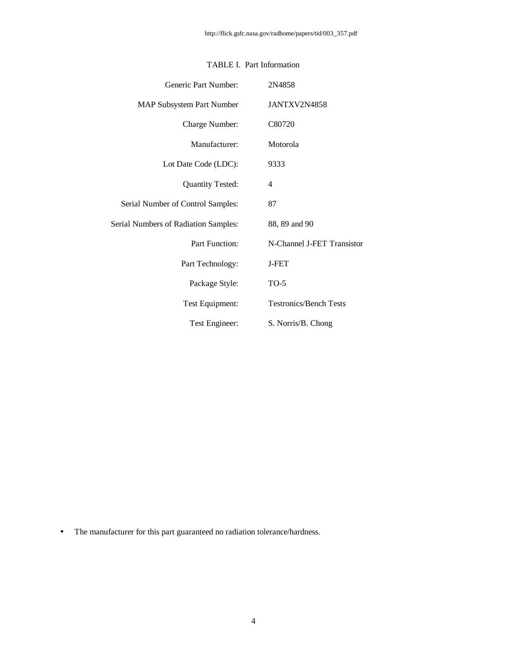| Generic Part Number:                 | 2N4858                        |
|--------------------------------------|-------------------------------|
| <b>MAP Subsystem Part Number</b>     | JANTXV2N4858                  |
| Charge Number:                       | C80720                        |
| Manufacturer:                        | Motorola                      |
| Lot Date Code (LDC):                 | 9333                          |
| <b>Quantity Tested:</b>              | 4                             |
| Serial Number of Control Samples:    | 87                            |
| Serial Numbers of Radiation Samples: | 88, 89 and 90                 |
| Part Function:                       | N-Channel J-FET Transistor    |
| Part Technology:                     | <b>J-FET</b>                  |
| Package Style:                       | $TO-5$                        |
| Test Equipment:                      | <b>Testronics/Bench Tests</b> |
| Test Engineer:                       | S. Norris/B. Chong            |

# TABLE I. Part Information

• The manufacturer for this part guaranteed no radiation tolerance/hardness.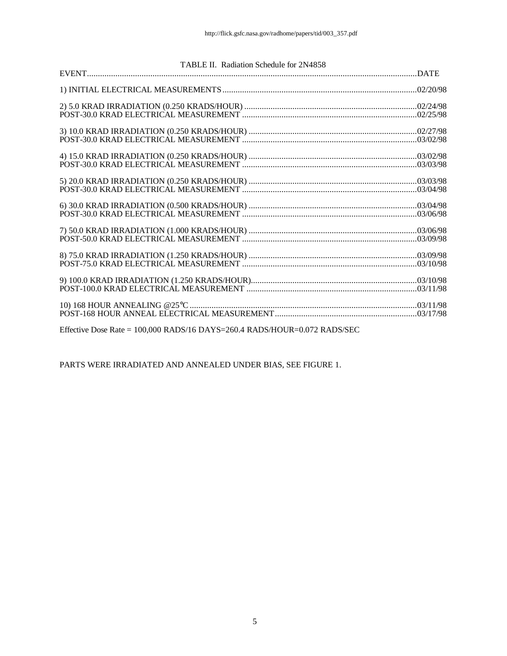| TABLE II. Radiation Schedule for 2N4858 |  |  |  |  |  |  |  |  |  |
|-----------------------------------------|--|--|--|--|--|--|--|--|--|
|                                         |  |  |  |  |  |  |  |  |  |
|                                         |  |  |  |  |  |  |  |  |  |
|                                         |  |  |  |  |  |  |  |  |  |
|                                         |  |  |  |  |  |  |  |  |  |
|                                         |  |  |  |  |  |  |  |  |  |
|                                         |  |  |  |  |  |  |  |  |  |
|                                         |  |  |  |  |  |  |  |  |  |
|                                         |  |  |  |  |  |  |  |  |  |
|                                         |  |  |  |  |  |  |  |  |  |
|                                         |  |  |  |  |  |  |  |  |  |
|                                         |  |  |  |  |  |  |  |  |  |
|                                         |  |  |  |  |  |  |  |  |  |

Effective Dose Rate = 100,000 RADS/16 DAYS=260.4 RADS/HOUR=0.072 RADS/SEC

PARTS WERE IRRADIATED AND ANNEALED UNDER BIAS, SEE FIGURE 1.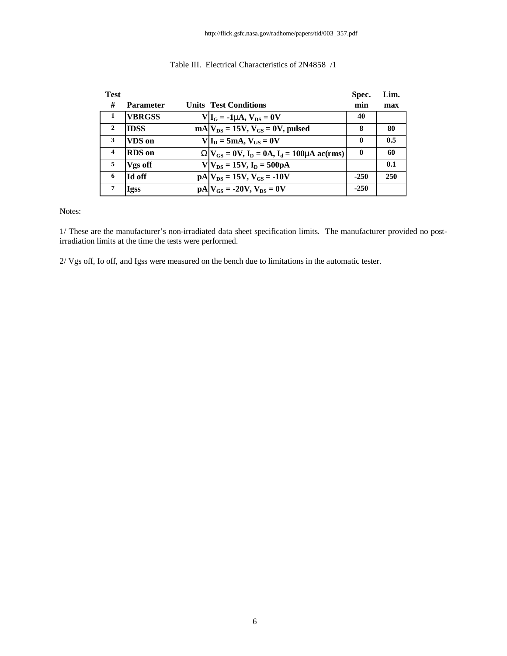| <b>Test</b>      |                  |                                                      | Spec.        | Lim. |
|------------------|------------------|------------------------------------------------------|--------------|------|
| #                | <b>Parameter</b> | <b>Units Test Conditions</b>                         | min          | max  |
| 1                | <b>VBRGSS</b>    | $V _{I_G} = -1$ mA, $V_{DS} = 0V$                    | 40           |      |
| $\mathbf{2}$     | <b>IDSS</b>      | $mA V_{DS} = 15V, V_{GS} = 0V, pulsed$               | 8            | 80   |
| 3                | VDS on           | $V I_D = 5mA$ , $V_{GS} = 0V$                        | $\mathbf{0}$ | 0.5  |
| $\boldsymbol{4}$ | <b>RDS</b> on    | $WV_{GS} = 0V$ , $I_D = 0A$ , $I_d = 100$ mA ac(rms) | $\mathbf{0}$ | 60   |
| 5                | Vgs off          | $V V_{DS} = 15V$ , $I_D = 500pA$                     |              | 0.1  |
| 6                | Id off           | $pA V_{DS} = 15V, V_{GS} = -10V$                     | $-250$       | 250  |
| 7                | <b>Igss</b>      | $pA V_{GS} = -20V$ , $V_{DS} = 0V$                   | $-250$       |      |

## Table III. Electrical Characteristics of 2N4858 /1

Notes:

1/ These are the manufacturer's non-irradiated data sheet specification limits. The manufacturer provided no postirradiation limits at the time the tests were performed.

2/ Vgs off, Io off, and Igss were measured on the bench due to limitations in the automatic tester.